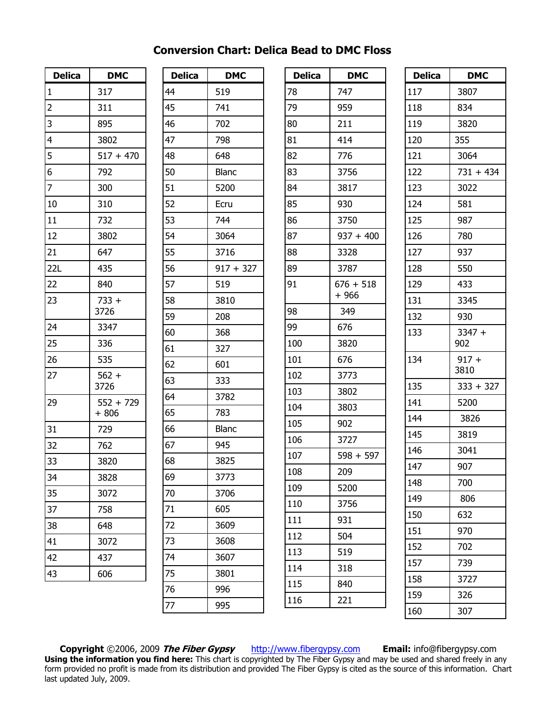| <b>Delica</b>  | <b>DMC</b>            |
|----------------|-----------------------|
| $\mathbf 1$    | 317                   |
| $\overline{c}$ | 311                   |
| $\overline{3}$ | 895                   |
| $\overline{4}$ | 3802                  |
| $\frac{1}{5}$  | $517 + 470$           |
|                | 792                   |
| $\overline{7}$ | 300                   |
| 10             | 310                   |
| 11             | 732                   |
| 12             | 3802                  |
| 21             | 647                   |
| 22L            | 435                   |
| 22             | 840                   |
| 23             | $733 +$               |
|                | 3726                  |
| 24             | 3347                  |
| 25             | 336                   |
| 26             | 535                   |
| -<br>27        | $562 +$<br>3726       |
| 29             | $552 + 729$<br>$+806$ |
| 31             | 729                   |
| 32             | 762                   |
| 33             | 3820                  |
| 34             | 3828                  |
| 35             | 3072                  |
| 37             | 758                   |
| 38             | 648                   |
| 41             | 3072                  |
| 42             | 437                   |
| 43             | 606                   |

| <b>Delica</b> | <b>DMC</b>   |
|---------------|--------------|
| 44            | 519          |
| 45            | 741          |
| 46            | 702          |
| 47            | 798          |
| 48            | 648          |
| 50            | Blanc        |
| 51            | 5200         |
| 52            | Ecru         |
| 53            | 744          |
| 54            | 3064         |
| 55            | 3716         |
| 56            | $917 + 327$  |
| 57            | 519          |
| 58            | 3810         |
| 59            | 208          |
| 60            | 368          |
| 61            | 327          |
| 62            | 601          |
| 63            | 333          |
| 64            | 3782         |
| 65            | 783          |
| 66            | <b>Blanc</b> |
| 67            | 945          |
| 68            | 3825         |
| 69            | 3773         |
| 70            | 3706         |
| 71            | 605          |
| 72            | 3609         |
| 73            | 3608         |
| 74            | 3607         |
| 75            | 3801         |
| 76            | 996          |
| 77            | 995          |

| 747<br>959<br>211<br>414<br>776<br>3756<br>3817<br>930<br>3750<br>$937 + 400$<br>3328<br>3787<br>$676 + 518$<br>+ 966<br>349<br>676<br>3820<br>676<br>3773<br>3802<br>3803<br>902<br>3727<br>$598 + 597$<br>209<br>109<br>5200<br>3756<br>110<br>111<br>931<br>504<br>113<br>519<br>114<br>318<br>840<br>116<br>221 | <b>Delica</b> | DMC |
|---------------------------------------------------------------------------------------------------------------------------------------------------------------------------------------------------------------------------------------------------------------------------------------------------------------------|---------------|-----|
|                                                                                                                                                                                                                                                                                                                     | 78            |     |
|                                                                                                                                                                                                                                                                                                                     | 79            |     |
|                                                                                                                                                                                                                                                                                                                     | 80            |     |
|                                                                                                                                                                                                                                                                                                                     | 81            |     |
|                                                                                                                                                                                                                                                                                                                     | 82            |     |
|                                                                                                                                                                                                                                                                                                                     | 83            |     |
|                                                                                                                                                                                                                                                                                                                     | 84            |     |
|                                                                                                                                                                                                                                                                                                                     | 85            |     |
|                                                                                                                                                                                                                                                                                                                     | 86            |     |
|                                                                                                                                                                                                                                                                                                                     | 87            |     |
|                                                                                                                                                                                                                                                                                                                     | 88            |     |
|                                                                                                                                                                                                                                                                                                                     | 89            |     |
|                                                                                                                                                                                                                                                                                                                     | 91            |     |
|                                                                                                                                                                                                                                                                                                                     | 98            |     |
|                                                                                                                                                                                                                                                                                                                     | 99            |     |
|                                                                                                                                                                                                                                                                                                                     | 100           |     |
|                                                                                                                                                                                                                                                                                                                     | 101           |     |
|                                                                                                                                                                                                                                                                                                                     | 102           |     |
|                                                                                                                                                                                                                                                                                                                     | 103           |     |
|                                                                                                                                                                                                                                                                                                                     | 104           |     |
|                                                                                                                                                                                                                                                                                                                     | 105           |     |
|                                                                                                                                                                                                                                                                                                                     | 106           |     |
|                                                                                                                                                                                                                                                                                                                     | 107           |     |
|                                                                                                                                                                                                                                                                                                                     | 108           |     |
|                                                                                                                                                                                                                                                                                                                     |               |     |
|                                                                                                                                                                                                                                                                                                                     |               |     |
|                                                                                                                                                                                                                                                                                                                     |               |     |
|                                                                                                                                                                                                                                                                                                                     | 112           |     |
|                                                                                                                                                                                                                                                                                                                     |               |     |
|                                                                                                                                                                                                                                                                                                                     |               |     |
|                                                                                                                                                                                                                                                                                                                     | 115           |     |
|                                                                                                                                                                                                                                                                                                                     |               |     |

| <b>Delica</b> | <b>DMC</b>      |
|---------------|-----------------|
| 117           | 3807            |
| 118           | 834             |
| 119           | 3820            |
| 120           | 355             |
| 121           | 3064            |
| 122           | $731 + 434$     |
| 123           | 3022            |
| 124           | 581             |
| 125           | 987             |
| 126           | 780             |
| 127           | 937             |
| 128           | 550             |
| 129           | 433             |
| 131           | 3345            |
| 132           | 930             |
| 133           | $3347 +$        |
|               | 902             |
| 134           | $917 +$<br>3810 |
| 135           | $333 + 327$     |
| 141           | 5200            |
| 144           | 3826            |
| 145           | 3819            |
| 146           | 3041            |
| 147           | 907             |
| 148           | 700             |
| 149           | 806             |
| 150           | 632             |
| 151           | 970             |
| 152           | 702             |
| 157           | 739             |
| 158           | 3727            |
| 159           | 326             |
| 160           | 307             |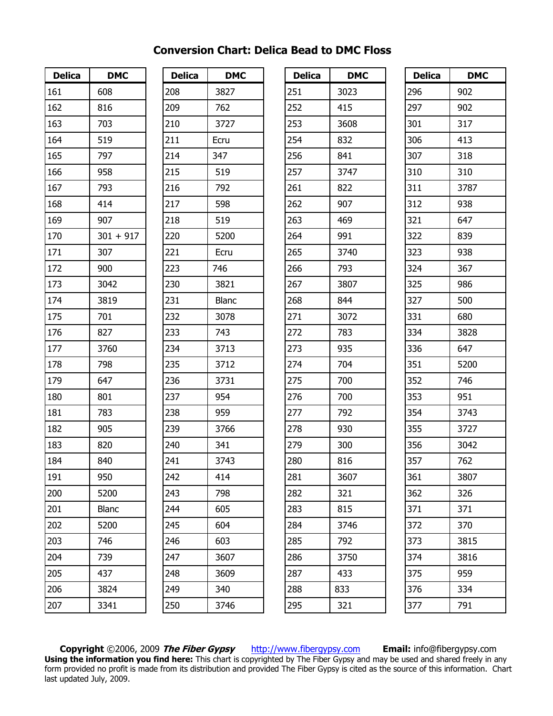| <b>Delica</b> | <b>DMC</b>  |
|---------------|-------------|
| 161           | 608         |
| 162           | 816         |
| 163           | 703         |
| 164           | 519         |
| 165           | 797         |
| 166           | 958         |
| 167           | 793         |
| 168           | 414         |
| 169           | 907         |
| 170           | $301 + 917$ |
| 171           | 307         |
| 172           | 900         |
| 173           | 3042        |
| 174           | 3819        |
| 175           | 701         |
| 176           | 827         |
| 177           | 3760        |
| 178           | 798         |
| 179           | 647         |
| 180           | 801         |
| 181           | 783         |
| 182           | 905         |
| 183           | 820         |
| 184           | 840         |
| 191           | 950         |
| 200           | 5200        |
| 201           | Blanc       |
| 202           | 5200        |
| 203           | 746         |
| 204           | 739         |
| 205           | 437         |
| 206           | 3824        |
| 207           | 3341        |

| <b>Delica</b> | <b>DMC</b> |  |
|---------------|------------|--|
| 208           | 3827       |  |
| 209           | 762        |  |
| 210           | 3727       |  |
| 211           | Ecru       |  |
| 214           | 347        |  |
| 215           | 519        |  |
| 216           | 792        |  |
| 217           | 598        |  |
| 218           | 519        |  |
| 220           | 5200       |  |
| 221           | Ecru       |  |
| 223           | 746        |  |
| 230           | 3821       |  |
| 231           | Blanc      |  |
| 232           | 3078       |  |
| 233           | 743        |  |
| 234           | 3713       |  |
| 235           | 3712       |  |
| 236           | 3731       |  |
| 237           | 954        |  |
| 238           | 959        |  |
| 239           | 3766       |  |
| 240           | 341        |  |
| 241           | 3743       |  |
| 242           | 414        |  |
| 243           | 798        |  |
| 244           | 605        |  |
| 245           | 604        |  |
| 246           | 603        |  |
| 247           | 3607       |  |
| 248           | 3609       |  |
| 249           | 340        |  |
| 250           | 3746       |  |

| <b>Delica</b> | <b>DMC</b> |
|---------------|------------|
| 251           | 3023       |
| 252           | 415        |
| 253           | 3608       |
| 254           | 832        |
| 256           | 841        |
| 257           | 3747       |
| 261           | 822        |
| 262           | 907        |
| 263           | 469        |
| 264           | 991        |
| 265           | 3740       |
| 266           | 793        |
| 267           | 3807       |
| 268           | 844        |
| 271           | 3072       |
| 272           | 783        |
| 273           | 935        |
| 274           | 704        |
| 275           | 700        |
| 276           | 700        |
| 277           | 792        |
| 278           | 930        |
| 279           | 300        |
| 280           | 816        |
| 281           | 3607       |
| 282           | 321        |
| 283           | 815        |
| 284           | 3746       |
| 285           | 792        |
| 286           | 3750       |
| 287           | 433        |
| 288           | 833        |
| 295           | 321        |

| <b>Delica</b> | <b>DMC</b> |
|---------------|------------|
| 296           | 902        |
| 297           | 902        |
| 301           | 317        |
| 306           | 413        |
| 307           | 318        |
| 310           | 310        |
| 311           | 3787       |
| 312           | 938        |
| 321           | 647        |
| 322           | 839        |
| 323           | 938        |
| 324           | 367        |
| 325           | 986        |
| 327           | 500        |
| 331           | 680        |
| 334           | 3828       |
| 336           | 647        |
| 351           | 5200       |
| 352           | 746        |
| 353           | 951        |
| 354           | 3743       |
| 355           | 3727       |
| 356           | 3042       |
| 357           | 762        |
| 361           | 3807       |
| 362           | 326        |
| 371           | 371        |
| 372           | 370        |
| 373           | 3815       |
| 374           | 3816       |
| 375           | 959        |
| 376           | 334        |
| 377           | 791        |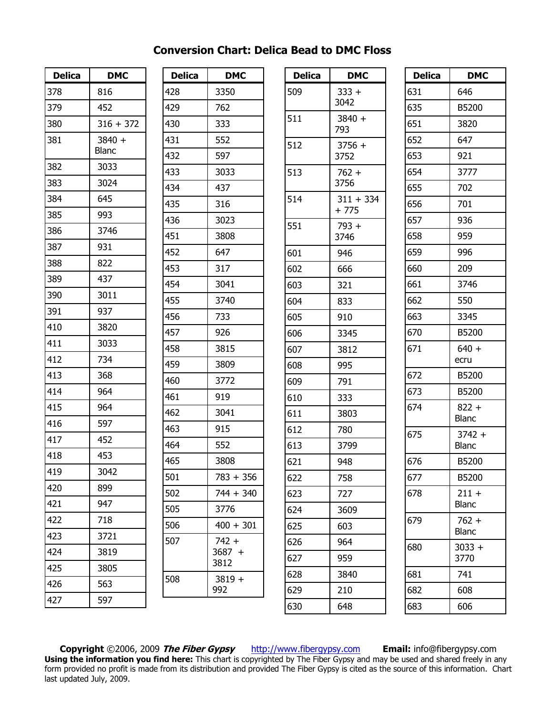| <b>Delica</b> | <b>DMC</b>             |
|---------------|------------------------|
| 378           | 816                    |
| 379           | 452                    |
| 380           | $316 + 372$            |
| 381           | 3840 +<br><b>Blanc</b> |
| 382           | 3033                   |
| 383           | 3024                   |
| 384           | 645                    |
| 385           | 993                    |
| 386           | 3746                   |
| 387           | 931                    |
| 388           | 822                    |
| 389           | 437                    |
| 390           | 3011                   |
| 391           | 937                    |
| 410           | 3820                   |
| 411           | 3033                   |
| 412           | 734                    |
| 413           | 368                    |
| 414           | 964                    |
| 415           | 964                    |
| 416           | 597                    |
| 417           | 452                    |
| 418           | 453                    |
| 419           | 3042                   |
| 420           | 899                    |
| 421           | 947                    |
| 422           | 718                    |
| 423           | 3721                   |
| 424           | 3819                   |
| 425           | 3805                   |
| 426           | 563                    |
| 427           | 597                    |

| <b>Delica</b> | <b>DMC</b>                  |
|---------------|-----------------------------|
| 428           | 3350                        |
| 429           | 762                         |
| 430           | 333                         |
| 431           | 552                         |
| 432           | 597                         |
| 433           | 3033                        |
| 434           | 437                         |
| 435           | 316                         |
| 436           | 3023                        |
| 451           | 3808                        |
| 452           | 647                         |
| 453           | 317                         |
| 454           | 3041                        |
| 455           | 3740                        |
| 456           | 733                         |
| 457           | 926                         |
| 458           | 3815                        |
| 459           | 3809                        |
| 460           | 3772                        |
| 461           | 919                         |
| 462           | 3041                        |
| 463           | 915                         |
| 464           | 552                         |
| 465           | 3808                        |
| 501           | 783 + 356                   |
| 502           | $744 + 340$                 |
| 505           | 3776                        |
| 506           | $400 + 301$                 |
| 507           | $742 +$<br>$3687 +$<br>3812 |
| 508           | $3819 +$<br>992             |
|               |                             |

| <b>Delica</b> | <b>DMC</b>            |
|---------------|-----------------------|
| 509           | $333 +$<br>3042       |
| 511           | $3840 +$<br>793       |
| 512           | $3756 +$<br>3752      |
| 513           | $762 +$<br>3756       |
| 514           | $311 + 334$<br>$+775$ |
| 551           | 793+<br>3746          |
| 601           | 946                   |
| 602           | 666                   |
| 603           | 321                   |
| 604           | 833                   |
| 605           | 910                   |
| 606           | 3345                  |
| 607           | 3812                  |
| 608           | 995                   |
| 609           | 791                   |
| 610           | 333                   |
| 611           | 3803                  |
| 612           | 780                   |
| 613           | 3799                  |
| 621           | 948                   |
| 622           | 758                   |
| 623           | 727                   |
| 624           | 3609                  |
| 625           | 603                   |
| 626           | 964                   |
| 627           | 959                   |
| 628           | 3840                  |
| 629           | 210                   |
| 630           | 648                   |

| <b>Delica</b> | <b>DMC</b>               |
|---------------|--------------------------|
| 631           | 646                      |
| 635           | B5200                    |
| 651           | 3820                     |
| 652           | 647                      |
| 653           | 921                      |
| 654           | 3777                     |
| 655           | 702                      |
| 656           | 701                      |
| 657           | 936                      |
| 658           | 959                      |
| 659           | 996                      |
| 660           | 209                      |
| 661           | 3746                     |
| 662           | 550                      |
| 663           | 3345                     |
| 670           | B5200                    |
| 671           | $640 +$                  |
|               | ecru                     |
| 672           | B5200                    |
| 673           | B5200                    |
| 674           | $822 +$                  |
|               | <b>Blanc</b>             |
| 675           | $3742 +$<br><b>Blanc</b> |
| 676           | B5200                    |
| 677           | B5200                    |
| 678           | $211 +$                  |
|               | Blanc                    |
| 679           | $762 +$                  |
|               | <b>Blanc</b>             |
| 680           | $3033 +$<br>3770         |
| 681           | 741                      |
| 682           | 608                      |
| 683           | 606                      |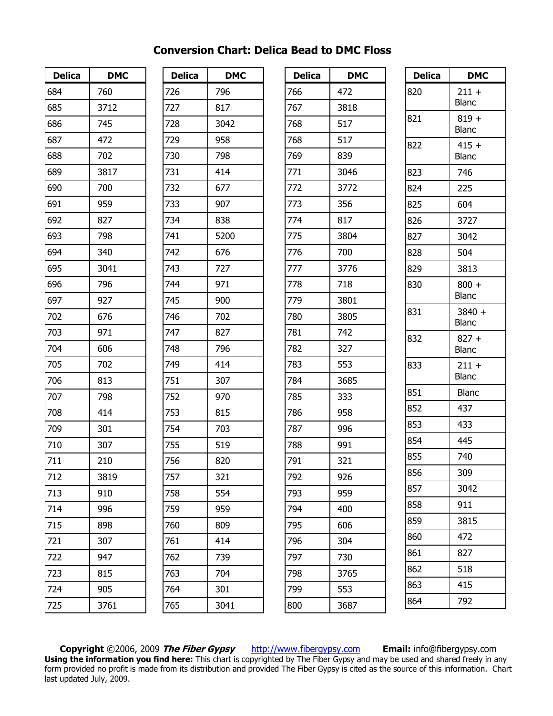| <b>Delica</b>   | <b>DMC</b> |
|-----------------|------------|
| 684             | 760        |
| 685             | 3712       |
| 686             | 745        |
| 687             | 472        |
| 688             | 702        |
| 689             | 3817       |
| 690             | 700        |
| 691             | 959        |
| 692             | 827        |
| 693             | 798        |
| 694             | 340        |
| 695             | 3041       |
| 696             | 796        |
| 697             | 927        |
| 702             | 676        |
| 703             | 971        |
| 704             | 606        |
| 705             | 702        |
| 706             | 813        |
| 707             | 798        |
| 708             | 414        |
| 709             | 301        |
| 710             | 307        |
| 711             | 210        |
| 712             | 3819       |
| 713             | 910        |
| 714             | 996        |
| 715             | 898        |
| 721             | 307        |
| $\frac{722}{1}$ | 947        |
| -<br>723        | 815        |
| 724             | 905        |
| 725             | 3761       |

| <b>Delica</b> | <b>DMC</b> |
|---------------|------------|
| 726           | 796        |
| 727           | 817        |
| 728           | 3042       |
| 729           | 958        |
| 730           | 798        |
| 731           | 414        |
| 732           | 677        |
| 733           | 907        |
| 734           | 838        |
| 741           | 5200       |
| 742           | 676        |
| 743           | 727        |
| 744           | 971        |
| 745           | 900        |
| 746           | 702        |
| 747           | 827        |
| 748           | 796        |
| 749           | 414        |
| 751           | 307        |
| 752           | 970        |
| 753           | 815        |
| 754           | 703        |
| 755           | 519        |
| 756           | 820        |
| 757           | 321        |
| 758           | 554        |
| 759           | 959        |
| 760           | 809        |
| 761           | 414        |
| 762           | 739        |
| 763           | 704        |
| 764           | 301        |
| 765           | 3041       |

| <b>Delica</b> | <b>DMC</b> |
|---------------|------------|
| 766           | 472        |
| 767           | 3818       |
| 768           | 517        |
| 768           | 517        |
| 769           | 839        |
| 771           | 3046       |
| 772           | 3772       |
| 773           | 356        |
| -<br>774      | 817        |
| 775           | 3804       |
| 776           | 700        |
| 777           | 3776       |
| 778           | 718        |
| 779           | 3801       |
| 780           | 3805       |
| 781           | 742        |
| 782           | 327        |
| 783           | 553        |
| 784           | 3685       |
| 785           | 333        |
| 786           | 958        |
| 787           | 996        |
| 788           | 991        |
| 791           | 321        |
| 792           | 926        |
| 793           | 959        |
| 794           | 400        |
| 795           | 606        |
| 796           | 304        |
| 797           | 730        |
| 798           | 3765       |
| 799           | 553        |
| 800           | 3687       |

| <b>Delica</b> | <b>DMC</b>              |
|---------------|-------------------------|
| 820           | $211 +$<br><b>Blanc</b> |
| 821           | $819 +$<br><b>Blanc</b> |
| 822           | $415 +$<br><b>Blanc</b> |
| 823           | 746                     |
| 824           | 225                     |
| 825           | 604                     |
| 826           | 3727                    |
| 827           | 3042                    |
| 828           | 504                     |
| 829           | 3813                    |
| 830           | $800 +$<br><b>Blanc</b> |
| 831           | 3840 +<br>Blanc         |
| 832           | $827 +$<br><b>Blanc</b> |
| 833           | $211 +$<br><b>Blanc</b> |
| 851           | <b>Blanc</b>            |
| 852           | 437                     |
| 853           | 433                     |
| 854           | 445                     |
| 855           | 740                     |
| 856           | 309                     |
| 857           | 3042                    |
| 858           | 911                     |
| 859           | 3815                    |
| 860           | 472                     |
| 861           | 827                     |
| 862           | 518                     |
| 863           | 415                     |
| 864           | 792                     |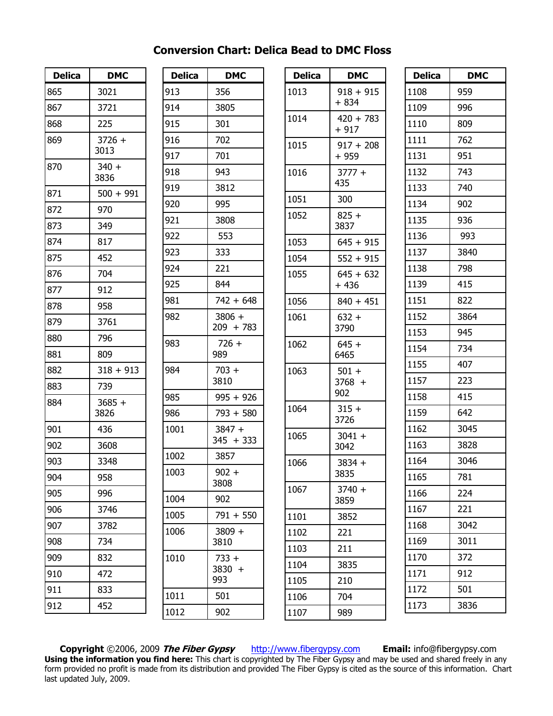| <b>Delica</b> | <b>DMC</b>       |
|---------------|------------------|
| 865           | 3021             |
| 867           | 3721             |
| 868           | 225              |
| 869           | $3726 +$<br>3013 |
| 870           | $340 +$<br>3836  |
| 871           | $500 + 991$      |
| 872           | 970              |
| 873           | 349              |
| 874           | 817              |
| 875           | 452              |
| 876           | 704              |
| 877           | 912              |
| 878           | 958              |
| 879           | 3761             |
| 880           | 796              |
| 881           | 809              |
| 882           | $318 + 913$      |
| 883           | 739              |
| 884           | 3685 +<br>3826   |
| 901           | 436              |
| 902           | 3608             |
| 903           | 3348             |
| 904           | 958              |
| 905           | 996              |
| 906           | 3746             |
| 907           | 3782             |
| 908           | 734              |
| 909           | 832              |
| 910           | 472              |
| 911           | 833              |
| 912           | 452              |

| <b>Delica</b> | <b>DMC</b>               |
|---------------|--------------------------|
| 913           | 356                      |
| 914           | 3805                     |
| 915           | 301                      |
| 916           | 702                      |
| 917           | 701                      |
| 918           | 943                      |
| 919           | 3812                     |
| 920           | 995                      |
| 921           | 3808                     |
| 922           | 553                      |
| 923           | 333                      |
| 924           | 221                      |
| 925           | 844                      |
| 981           | $742 + 648$              |
| 982           | $3806 +$<br>209 + 783    |
| 983           | $726 +$<br>989           |
| 984           | $703 +$<br>3810          |
| 985           | $995 + 926$              |
| 986           | $793 + 580$              |
| 1001          | $3847 +$<br>345 + 333    |
| 1002          | 3857                     |
| 1003          | $902 -$<br>3808          |
| 1004          | 902                      |
| 1005          | $791 + 550$              |
| 1006          | 3809 +<br>3810           |
| 1010          | $733 +$<br>3830 +<br>993 |
| 1011          | 501                      |
| 1012          | 902                      |

| <b>Delica</b> | <b>DMC</b>               |
|---------------|--------------------------|
| 1013          | $918 + 915$<br>+ 834     |
| 1014          | $420 + 783$<br>$+917$    |
| 1015          | $917 + 208$<br>+ 959     |
| 1016          | $3777 +$<br>435          |
| 1051          | 300                      |
| 1052          | $825 +$<br>3837          |
| 1053          | $645 + 915$              |
| 1054          | $552 + 915$              |
| 1055          | 645 + 632<br>+ 436       |
| 1056          | $840 + 451$              |
| 1061          | 632 +<br>3790            |
| 1062          | $645 +$<br>6465          |
| 1063          | $501 +$<br>3768 +<br>902 |
| 1064          | 315 +<br>3726            |
| 1065          | $3041 +$<br>3042         |
| 1066          | $3834 +$<br>3835         |
| 1067          | $3740 +$<br>3859         |
| 1101          | 3852                     |
| 1102          | 221                      |
| 1103          | 211                      |
| 1104          | 3835                     |
| 1105          | 210                      |
| 1106          | 704                      |
| 1107          | 989                      |

| <b>Delica</b> | <b>DMC</b> |
|---------------|------------|
| 1108          | 959        |
| 1109          | 996        |
| 1110          | 809        |
| 1111          | 762        |
| 1131          | 951        |
| 1132          | 743        |
| 1133          | 740        |
| 1134          | 902        |
| 1135          | 936        |
| 1136          | 993        |
| 1137          | 3840       |
| 1138          | 798        |
| 1139          | 415        |
| 1151          | 822        |
| 1152          | 3864       |
| 1153          | 945        |
| 1154          | 734        |
| 1155          | 407        |
| 1157          | 223        |
| 1158          | 415        |
| 1159          | 642        |
| 1162          | 3045       |
| 1163          | 3828       |
| 1164          | 3046       |
| 1165          | 781        |
| 1166          | 224        |
| 1167          | 221        |
| 1168          | 3042       |
| 1169          | 3011       |
| 1170          | 372        |
| 1171          | 912        |
| 1172          | 501        |
| 1173          | 3836       |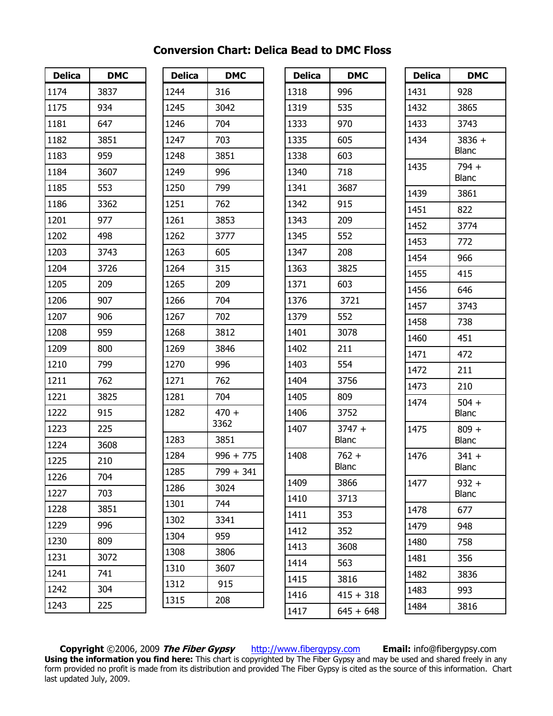| <b>Delica</b> | <b>DMC</b> |
|---------------|------------|
| 1174          | 3837       |
| 1175          | 934        |
| 1181          | 647        |
| 1182          | 3851       |
| 1183          | 959        |
| 1184          | 3607       |
| 1185          | 553        |
| 1186          | 3362       |
| 1201          | 977        |
| 1202          | 498        |
| 1203          | 3743       |
| 1204          | 3726       |
| 1205          | 209        |
| 1206          | 907        |
| 1207          | 906        |
| 1208          | 959        |
| 1209          | 800        |
| 1210          | 799        |
| 1211          | 762        |
| 1221          | 3825       |
| 1222          | 915        |
| 1223          | 225        |
| 1224          | 3608       |
| 1225          | 210        |
| 1226          | 704        |
| 1227          | 703        |
| 1228          | 3851       |
| 1229          | 996        |
| 1230          | 809        |
| 1231          | 3072       |
| 1241          | 741        |
| 1242          | 304        |
| 1243          | 225        |

| <b>Delica</b> | <b>DMC</b>      |
|---------------|-----------------|
| 1244          | 316             |
| 1245          | 3042            |
| 1246          | 704             |
| 1247          | 703             |
| 1248          | 3851            |
| 1249          | 996             |
| 1250          | 799             |
| 1251          | 762             |
| 1261          | 3853            |
| 1262          | 3777            |
| 1263          | 605             |
| 1264          | 315             |
| 1265          | 209             |
| 1266          | 704             |
| 1267          | 702             |
| 1268          | 3812            |
| 1269          | 3846            |
| 1270          | 996             |
| 1271          | 762             |
| 1281          | 704             |
| 1282          | $470 +$<br>3362 |
| 1283          | 3851            |
| 1284          | $996 + 775$     |
| 1285          | 799 +<br>341    |
| 1286          | 3024            |
| 1301          | 744             |
| 1302          | 3341            |
| 1304          | 959             |
| 1308          | 3806            |
| 1310          | 3607            |
| 1312          | 915             |
| 1315          | 208             |

| Delica | DMC                      |
|--------|--------------------------|
| 1318   | 996                      |
| 1319   | 535                      |
| 1333   | 970                      |
| 1335   | 605                      |
| 1338   | 603                      |
| 1340   | 718                      |
| 1341   | 3687                     |
| 1342   | 915                      |
| 1343   | 209                      |
| 1345   | 552                      |
| 1347   | 208                      |
| 1363   | 3825                     |
| 1371   | 603                      |
| 1376   | 3721                     |
| 1379   | 552                      |
| 1401   | 3078                     |
| 1402   | 211                      |
| 1403   | 554                      |
| 1404   | 3756                     |
| 1405   | 809                      |
| 1406   | 3752                     |
| 1407   | $3747 +$<br><b>Blanc</b> |
| 1408   | $762 +$                  |
|        | Blanc                    |
| 1409   | 3866                     |
| 1410   | 3713                     |
| 1411   | 353                      |
| 1412   | 352                      |
| 1413   | 3608                     |
| 1414   | 563                      |
| 1415   | 3816                     |
| 1416   | $415 + 318$              |
| 1417   | $645 + 648$              |

| <b>Delica</b> | <b>DMC</b>              |
|---------------|-------------------------|
| 1431          | 928                     |
| 1432          | 3865                    |
| 1433          | 3743                    |
| 1434          | 3836 +<br>Blanc         |
| 1435          | 794 +<br><b>Blanc</b>   |
| 1439          | 3861                    |
| 1451          | 822                     |
| 1452          | 3774                    |
| 1453          | 772                     |
| 1454          | 966                     |
| 1455          | 415                     |
| 1456          | 646                     |
| 1457          | 3743                    |
| 1458          | 738                     |
| 1460          | 451                     |
| 1471          | 472                     |
| 1472          | 211                     |
| 1473          | 210                     |
| 1474          | $504 +$<br><b>Blanc</b> |
| 1475          | $809 +$<br><b>Blanc</b> |
| 1476          | 341 +<br>Blanc          |
| 1477          | $932 +$<br>Blanc        |
| 1478          | 677                     |
| 1479          | 948                     |
| 1480          | 758                     |
| 1481          | 356                     |
| 1482          | 3836                    |
| 1483          | 993                     |
| 1484          | 3816                    |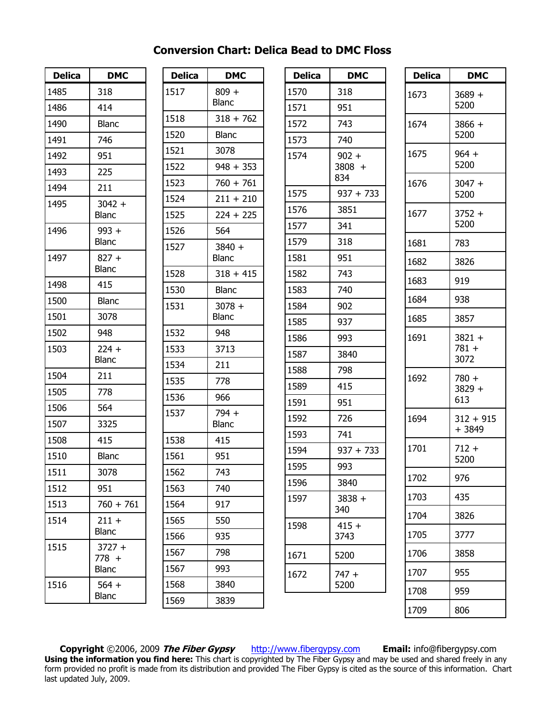| <b>Delica</b> | <b>DMC</b>                   |
|---------------|------------------------------|
| 1485          | 318                          |
| 1486          | 414                          |
| 1490          | Blanc                        |
| 1491          | 746                          |
| 1492          | 951                          |
| 1493          | 225                          |
| 1494          | 211                          |
| 1495          | $3042 +$<br><b>Blanc</b>     |
| 1496          | $993 +$<br><b>Blanc</b>      |
| 1497          | $827 +$<br>Blanc             |
| 1498          | 415                          |
| 1500          | <b>Blanc</b>                 |
| 1501          | 3078                         |
| 1502          | 948                          |
| 1503          | $224 +$<br><b>Blanc</b>      |
| 1504          | 211                          |
| 1505          | 778                          |
| 1506          | 564                          |
| 1507          | 3325                         |
| 1508          | 415                          |
| 1510          | <b>Blanc</b>                 |
| 1511          | 3078                         |
| 1512          | 951                          |
| 1513          | $760 + 761$                  |
| 1514          | $211 +$<br><b>Blanc</b>      |
| 1515          | $3727 +$<br>$778 +$<br>Blanc |
| 1516          | $564 +$<br><b>Blanc</b>      |

| <b>Delica</b> | <b>DMC</b>               |
|---------------|--------------------------|
| 1517          | $809 +$<br>Blanc         |
| 1518          | $318 + 762$              |
| 1520          | <b>Blanc</b>             |
| 1521          | 3078                     |
| 1522          | $948 + 353$              |
| 1523          | $760 + 761$              |
| 1524          | $211 + 210$              |
| 1525          | $224 + 225$              |
| 1526          | 564                      |
| 1527          | $3840 +$<br><b>Blanc</b> |
| 1528          | $318 + 415$              |
| 1530          | <b>Blanc</b>             |
| 1531          | $3078 +$<br>Blanc        |
| 1532          | 948                      |
| 1533          | 3713                     |
| 1534          | 211                      |
| 1535          | 778                      |
| 1536          | 966                      |
| 1537          | $794 +$<br><b>Blanc</b>  |
| 1538          | 415                      |
| 1561          | 951                      |
| 1562          | 743                      |
| 1563          | 740                      |
| 1564          | 917                      |
| 1565          | 550                      |
| 1566          | 935                      |
| 1567          | 798                      |
| 1567          | 993                      |
| 1568          | 3840                     |
| 1569          | 3839                     |

| <b>Delica</b> | <b>DMC</b>                 |
|---------------|----------------------------|
| 1570          | 318                        |
| 1571          | 951                        |
| 1572          | 743                        |
| 1573          | 740                        |
| 1574          | $902 +$<br>$3808 +$<br>834 |
| 1575          | $937 + 733$                |
| 1576          | 3851                       |
| 1577          | 341                        |
| 1579          | 318                        |
| 1581          | 951                        |
| 1582          | 743                        |
| 1583          | 740                        |
| 1584          | 902                        |
| 1585          | 937                        |
| 1586          | 993                        |
| 1587          | 3840                       |
| 1588          | 798                        |
| 1589          | 415                        |
| 1591          | 951                        |
| 1592          | 726                        |
| 1593          | 741                        |
| 1594          | $937 + 733$                |
| 1595          | 993                        |
| 1596          | 3840                       |
| 1597          | $3838 +$<br>340            |
| 1598          | $415 +$<br>3743            |
| 1671          | 5200                       |
| 1672          | 747 +<br>5200              |
|               |                            |

| <b>Delica</b> | DMC                        |
|---------------|----------------------------|
| 1673          | $3689 +$<br>5200           |
| 1674          | 3866 +<br>5200             |
| 1675          | 964 +<br>5200              |
| 1676          | 3047 +<br>5200             |
| 1677          | 3752 +<br>5200             |
| 1681          | 783                        |
| 1682          | 3826                       |
| 1683          | 919                        |
| 1684          | 938                        |
| 1685          | 3857                       |
| 1691          | 3821 +<br>781 +<br>3072    |
| 1692          | $780 +$<br>$3829 +$<br>613 |
| 1694          | $312 + 915$<br>+ 3849      |
| 1701          | 712 +<br>5200              |
| 1702          | 976                        |
| 1703          | 435                        |
| 1704          | 3826                       |
| 1705          | 3777                       |
| 1706          | 3858                       |
| 1707          | 955                        |
| 1708          | 959                        |
| 1709          | 806                        |